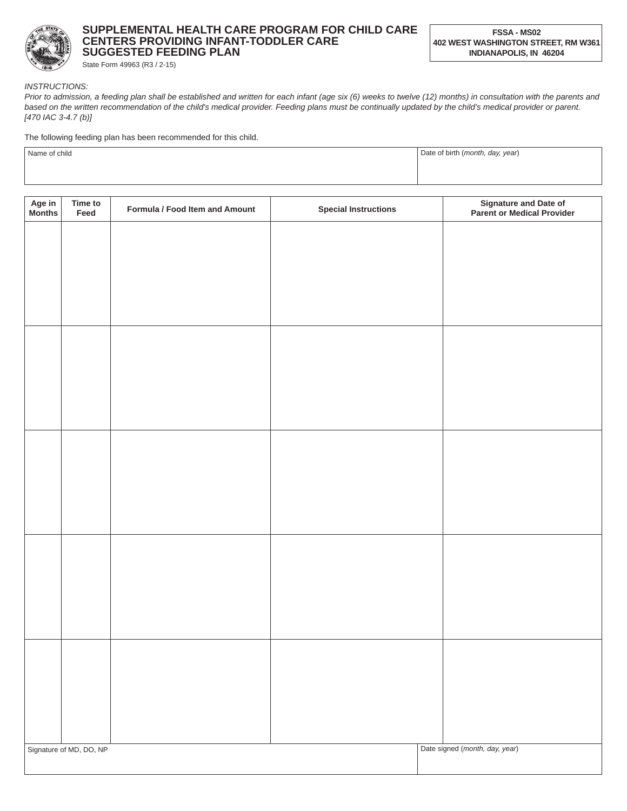

## **SUPPLEMENTAL HEALTH CARE PROGRAM FOR CHILD CARE CENTERS PROVIDING INFANT-TODDLER CARE SUGGESTED FEEDING PLAN**

State Form 49963 (R3 / 2-15)

*INSTRUCTIONS:*

*Prior to admission, a feeding plan shall be established and written for each infant (age six (6) weeks to twelve (12) months) in consultation with the parents and*  based on the written recommendation of the child's medical provider. Feeding plans must be continually updated by the child's medical provider or parent. *[470 IAC 3-4.7 (b)]*

The following feeding plan has been recommended for this child.

| Name of child | Date of birth (month, day, year) |  |
|---------------|----------------------------------|--|
|               |                                  |  |
|               |                                  |  |

| Age in<br>Months | Time to<br>Feed         | Formula / Food Item and Amount | <b>Special Instructions</b> | <b>Signature and Date of</b><br>Parent or Medical Provider |
|------------------|-------------------------|--------------------------------|-----------------------------|------------------------------------------------------------|
|                  |                         |                                |                             |                                                            |
|                  |                         |                                |                             |                                                            |
|                  |                         |                                |                             |                                                            |
|                  |                         |                                |                             |                                                            |
|                  |                         |                                |                             |                                                            |
|                  |                         |                                |                             |                                                            |
|                  |                         |                                |                             |                                                            |
|                  |                         |                                |                             |                                                            |
|                  |                         |                                |                             |                                                            |
|                  |                         |                                |                             |                                                            |
|                  |                         |                                |                             |                                                            |
|                  |                         |                                |                             |                                                            |
|                  |                         |                                |                             |                                                            |
|                  |                         |                                |                             |                                                            |
|                  |                         |                                |                             |                                                            |
|                  |                         |                                |                             |                                                            |
|                  | Signature of MD, DO, NP |                                |                             | Date signed (month, day, year)                             |
|                  |                         |                                |                             |                                                            |